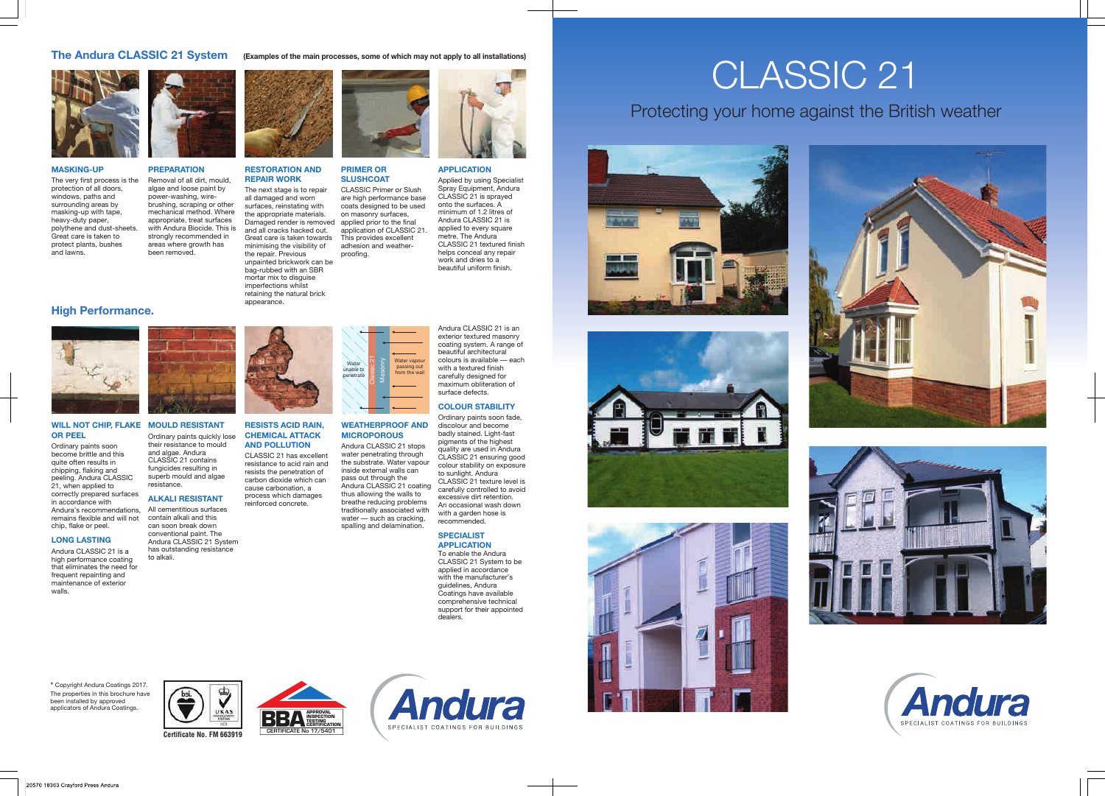## CLASSIC 21 Protecting your home against the British weather







### **PREPARATION** Removal of all dirt, mould,

algae and loose paint by power-washing, wirebrushing, scraping or other mechanical method. Where appropriate, treat surfaces with Andura Biocide. This is strongly recommended in areas where growth has been removed.



### **MASKING-UP**

The very first process is the protection of all doors, windows, paths and surrounding areas by masking-up with tape, heavy-duty paper, polythene and dust-sheets. Great care is taken to protect plants, bushes and lawns.





resists the penetration of carbon dioxide which can cause carbonation, a process which damages

### **OR PEEL**

Ordinary paints soon become brittle and this quite often results in chipping, flaking and peeling. Andura CLASSIC 21, when applied to correctly prepared surfaces in accordance with Andura's recommendations, remains flexible and will not chip, flake or peel.

#### **LONG LASTING**

Andura CLASSIC 21 is a high performance coating that eliminates the need for frequent repainting and maintenance of exterior walls.

### **WILL NOT CHIP, FLAKE MOULD RESISTANT** Ordinary paints quickly lose their resistance to mould

**WEATHERPROOF AND MICROPOROUS** Andura CLASSIC 21 stops

reinforced concrete. All cementitious surfaces



and algae. Andura

CLASSIC 21 contains fungicides resulting in superb mould and algae **ALKALI RESISTANT**



resistance.

contain alkali and this can soon break down conventional paint. The Andura CLASSIC 21 System has outstanding resistance

to alkali.

### **The Andura CLASSIC 21 System (Examples of the main processes, some of which may not apply to all installations)**



Water vapou passing out from the wall

Water unable to netrate



### **High Performance.**



Andura CLASSIC 21 is an exterior textured masonry coating system. A range of beautiful architectural colours is available — each with a textured finish carefully designed for maximum obliteration of surface defects.

### **COLOUR STABILITY**

Ordinary paints soon fade, discolour and become badly stained. Light-fast pigments of the highest quality are used in Andura CLASSIC 21 ensuring good colour stability on exposure to sunlight. Andura CLASSIC 21 texture level is carefully controlled to avoid excessive dirt retention. An occasional wash down with a garden hose is recommended.

### **SPECIALIST APPLICATION**

**Andura** 

SPECIALIST COATINGS FOR BUILDINGS

To enable the Andura CLASSIC 21 System to be applied in accordance with the manufacturer's guidelines, Andura Coatings have available comprehensive technical support for their appointed dealers.

**APPLICATION**

Applied by using Specialist Spray Equipment, Andura CLASSIC 21 is sprayed onto the surfaces. A minimum of 1.2 litres of Andura CLASSIC 21 is applied to every square metre. The Andura CLASSIC 21 textured finish helps conceal any repair work and dries to a beautiful uniform finish.

### **RESTORATION AND REPAIR WORK**

The next stage is to repair all damaged and worn surfaces, reinstating with the appropriate materials. Damaged render is removed and all cracks hacked out. Great care is taken towards minimising the visibility of the repair. Previous unpainted brickwork can be bag-rubbed with an SBR mortar mix to disguise imperfections whilst

retaining the natural brick

appearance.



**PRIMER OR SLUSHCOAT**

CLASSIC Primer or Slush are high performance base coats designed to be used on masonry surfaces, applied prior to the final application of CLASSIC 21. This provides excellent adhesion and weatherproofing.

\* Copyright Andura Coatings 2017. The properties in this brochure have been installed by approved applicators of Andura Coatings.



Classic 21 Masonry

**APPROVAL INSPECTION TESTING CERTIFICATION**

20570 18363 Crayford Press Andura







**CERTIFICATE No 17/5401 Certificate No. FM 663919**

♥

**UKAS**